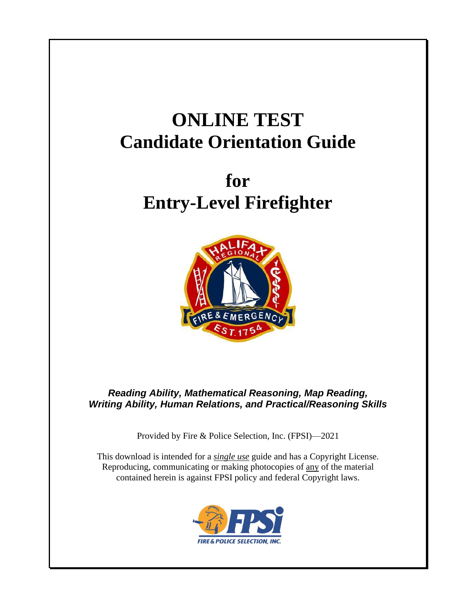# **ONLINE TEST Candidate Orientation Guide for Entry-Level Firefighter** & *Reading Ability, Mathematical Reasoning, Map Reading, Writing Ability, Human Relations, and Practical/Reasoning Skills* Provided by Fire & Police Selection, Inc. (FPSI)—2021 This download is intended for a *single use* guide and has a Copyright License. Reproducing, communicating or making photocopies of any of the material contained herein is against FPSI policy and federal Copyright laws.

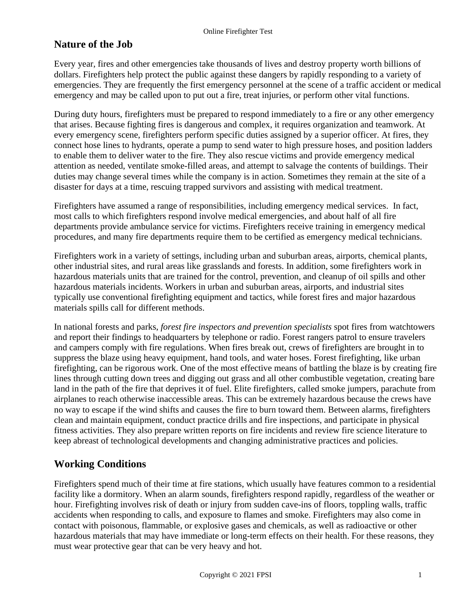# **Nature of the Job**

Every year, fires and other emergencies take thousands of lives and destroy property worth billions of dollars. Firefighters help protect the public against these dangers by rapidly responding to a variety of emergencies. They are frequently the first emergency personnel at the scene of a traffic accident or medical emergency and may be called upon to put out a fire, treat injuries, or perform other vital functions.

During duty hours, firefighters must be prepared to respond immediately to a fire or any other emergency that arises. Because fighting fires is dangerous and complex, it requires organization and teamwork. At every emergency scene, firefighters perform specific duties assigned by a superior officer. At fires, they connect hose lines to hydrants, operate a pump to send water to high pressure hoses, and position ladders to enable them to deliver water to the fire. They also rescue victims and provide emergency medical attention as needed, ventilate smoke-filled areas, and attempt to salvage the contents of buildings. Their duties may change several times while the company is in action. Sometimes they remain at the site of a disaster for days at a time, rescuing trapped survivors and assisting with medical treatment.

Firefighters have assumed a range of responsibilities, including emergency medical services. In fact, most calls to which firefighters respond involve medical emergencies, and about half of all fire departments provide ambulance service for victims. Firefighters receive training in emergency medical procedures, and many fire departments require them to be certified as emergency medical technicians.

Firefighters work in a variety of settings, including urban and suburban areas, airports, chemical plants, other industrial sites, and rural areas like grasslands and forests. In addition, some firefighters work in hazardous materials units that are trained for the control, prevention, and cleanup of oil spills and other hazardous materials incidents. Workers in urban and suburban areas, airports, and industrial sites typically use conventional firefighting equipment and tactics, while forest fires and major hazardous materials spills call for different methods.

In national forests and parks, *forest fire inspectors and prevention specialists* spot fires from watchtowers and report their findings to headquarters by telephone or radio. Forest rangers patrol to ensure travelers and campers comply with fire regulations. When fires break out, crews of firefighters are brought in to suppress the blaze using heavy equipment, hand tools, and water hoses. Forest firefighting, like urban firefighting, can be rigorous work. One of the most effective means of battling the blaze is by creating fire lines through cutting down trees and digging out grass and all other combustible vegetation, creating bare land in the path of the fire that deprives it of fuel. Elite firefighters, called smoke jumpers, parachute from airplanes to reach otherwise inaccessible areas. This can be extremely hazardous because the crews have no way to escape if the wind shifts and causes the fire to burn toward them. Between alarms, firefighters clean and maintain equipment, conduct practice drills and fire inspections, and participate in physical fitness activities. They also prepare written reports on fire incidents and review fire science literature to keep abreast of technological developments and changing administrative practices and policies.

# **Working Conditions**

Firefighters spend much of their time at fire stations, which usually have features common to a residential facility like a dormitory. When an alarm sounds, firefighters respond rapidly, regardless of the weather or hour. Firefighting involves risk of death or injury from sudden cave-ins of floors, toppling walls, traffic accidents when responding to calls, and exposure to flames and smoke. Firefighters may also come in contact with poisonous, flammable, or explosive gases and chemicals, as well as radioactive or other hazardous materials that may have immediate or long-term effects on their health. For these reasons, they must wear protective gear that can be very heavy and hot.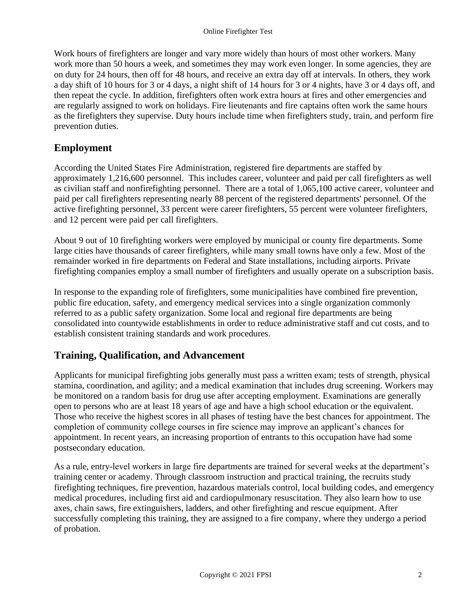Work hours of firefighters are longer and vary more widely than hours of most other workers. Many work more than 50 hours a week, and sometimes they may work even longer. In some agencies, they are on duty for 24 hours, then off for 48 hours, and receive an extra day off at intervals. In others, they work a day shift of 10 hours for 3 or 4 days, a night shift of 14 hours for 3 or 4 nights, have 3 or 4 days off, and then repeat the cycle. In addition, firefighters often work extra hours at fires and other emergencies and are regularly assigned to work on holidays. Fire lieutenants and fire captains often work the same hours as the firefighters they supervise. Duty hours include time when firefighters study, train, and perform fire prevention duties.

# **Employment**

According the United States Fire Administration, registered fire departments are staffed by approximately 1,216,600 personnel. This includes career, volunteer and paid per call firefighters as well as civilian staff and nonfirefighting personnel. There are a total of 1,065,100 active career, volunteer and paid per call firefighters representing nearly 88 percent of the registered departments' personnel. Of the active firefighting personnel, 33 percent were career firefighters, 55 percent were volunteer firefighters, and 12 percent were paid per call firefighters.

About 9 out of 10 firefighting workers were employed by municipal or county fire departments. Some large cities have thousands of career firefighters, while many small towns have only a few. Most of the remainder worked in fire departments on Federal and State installations, including airports. Private firefighting companies employ a small number of firefighters and usually operate on a subscription basis.

In response to the expanding role of firefighters, some municipalities have combined fire prevention, public fire education, safety, and emergency medical services into a single organization commonly referred to as a public safety organization. Some local and regional fire departments are being consolidated into countywide establishments in order to reduce administrative staff and cut costs, and to establish consistent training standards and work procedures.

# **Training, Qualification, and Advancement**

Applicants for municipal firefighting jobs generally must pass a written exam; tests of strength, physical stamina, coordination, and agility; and a medical examination that includes drug screening. Workers may be monitored on a random basis for drug use after accepting employment. Examinations are generally open to persons who are at least 18 years of age and have a high school education or the equivalent. Those who receive the highest scores in all phases of testing have the best chances for appointment. The completion of community college courses in fire science may improve an applicant's chances for appointment. In recent years, an increasing proportion of entrants to this occupation have had some postsecondary education.

As a rule, entry-level workers in large fire departments are trained for several weeks at the department's training center or academy. Through classroom instruction and practical training, the recruits study firefighting techniques, fire prevention, hazardous materials control, local building codes, and emergency medical procedures, including first aid and cardiopulmonary resuscitation. They also learn how to use axes, chain saws, fire extinguishers, ladders, and other firefighting and rescue equipment. After successfully completing this training, they are assigned to a fire company, where they undergo a period of probation.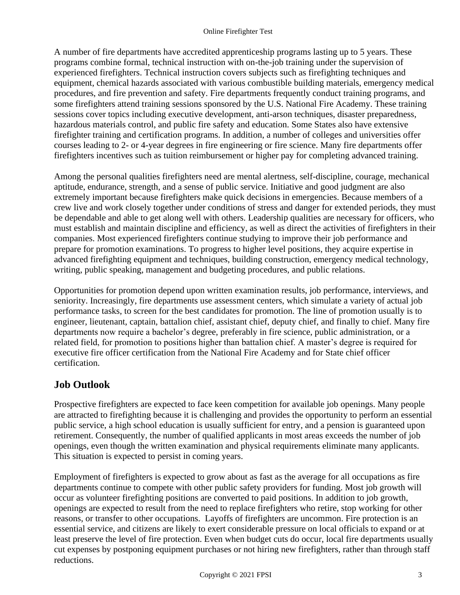#### Online Firefighter Test

A number of fire departments have accredited apprenticeship programs lasting up to 5 years. These programs combine formal, technical instruction with on-the-job training under the supervision of experienced firefighters. Technical instruction covers subjects such as firefighting techniques and equipment, chemical hazards associated with various combustible building materials, emergency medical procedures, and fire prevention and safety. Fire departments frequently conduct training programs, and some firefighters attend training sessions sponsored by the U.S. National Fire Academy. These training sessions cover topics including executive development, anti-arson techniques, disaster preparedness, hazardous materials control, and public fire safety and education. Some States also have extensive firefighter training and certification programs. In addition, a number of colleges and universities offer courses leading to 2- or 4-year degrees in fire engineering or fire science. Many fire departments offer firefighters incentives such as tuition reimbursement or higher pay for completing advanced training.

Among the personal qualities firefighters need are mental alertness, self-discipline, courage, mechanical aptitude, endurance, strength, and a sense of public service. Initiative and good judgment are also extremely important because firefighters make quick decisions in emergencies. Because members of a crew live and work closely together under conditions of stress and danger for extended periods, they must be dependable and able to get along well with others. Leadership qualities are necessary for officers, who must establish and maintain discipline and efficiency, as well as direct the activities of firefighters in their companies. Most experienced firefighters continue studying to improve their job performance and prepare for promotion examinations. To progress to higher level positions, they acquire expertise in advanced firefighting equipment and techniques, building construction, emergency medical technology, writing, public speaking, management and budgeting procedures, and public relations.

Opportunities for promotion depend upon written examination results, job performance, interviews, and seniority. Increasingly, fire departments use assessment centers, which simulate a variety of actual job performance tasks, to screen for the best candidates for promotion. The line of promotion usually is to engineer, lieutenant, captain, battalion chief, assistant chief, deputy chief, and finally to chief. Many fire departments now require a bachelor's degree, preferably in fire science, public administration, or a related field, for promotion to positions higher than battalion chief. A master's degree is required for executive fire officer certification from the National Fire Academy and for State chief officer certification.

### **Job Outlook**

Prospective firefighters are expected to face keen competition for available job openings. Many people are attracted to firefighting because it is challenging and provides the opportunity to perform an essential public service, a high school education is usually sufficient for entry, and a pension is guaranteed upon retirement. Consequently, the number of qualified applicants in most areas exceeds the number of job openings, even though the written examination and physical requirements eliminate many applicants. This situation is expected to persist in coming years.

Employment of firefighters is expected to grow about as fast as the average for all occupations as fire departments continue to compete with other public safety providers for funding. Most job growth will occur as volunteer firefighting positions are converted to paid positions. In addition to job growth, openings are expected to result from the need to replace firefighters who retire, stop working for other reasons, or transfer to other occupations. Layoffs of firefighters are uncommon. Fire protection is an essential service, and citizens are likely to exert considerable pressure on local officials to expand or at least preserve the level of fire protection. Even when budget cuts do occur, local fire departments usually cut expenses by postponing equipment purchases or not hiring new firefighters, rather than through staff reductions.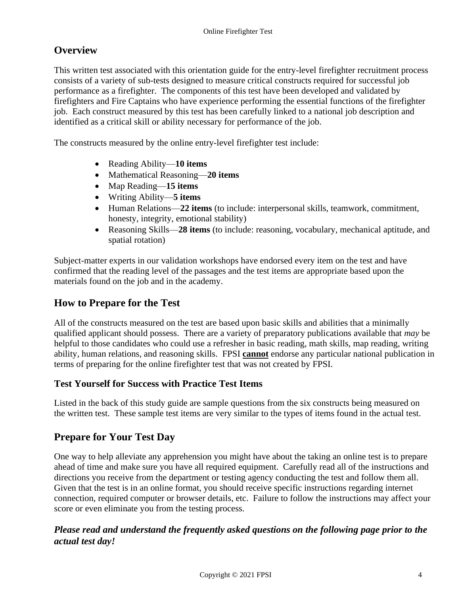# **Overview**

This written test associated with this orientation guide for the entry-level firefighter recruitment process consists of a variety of sub-tests designed to measure critical constructs required for successful job performance as a firefighter. The components of this test have been developed and validated by firefighters and Fire Captains who have experience performing the essential functions of the firefighter job. Each construct measured by this test has been carefully linked to a national job description and identified as a critical skill or ability necessary for performance of the job.

The constructs measured by the online entry-level firefighter test include:

- Reading Ability—**10 items**
- Mathematical Reasoning—**20 items**
- Map Reading—**15 items**
- Writing Ability—**5 items**
- Human Relations—**22 items** (to include: interpersonal skills, teamwork, commitment, honesty, integrity, emotional stability)
- Reasoning Skills—**28 items** (to include: reasoning, vocabulary, mechanical aptitude, and spatial rotation)

Subject-matter experts in our validation workshops have endorsed every item on the test and have confirmed that the reading level of the passages and the test items are appropriate based upon the materials found on the job and in the academy.

### **How to Prepare for the Test**

All of the constructs measured on the test are based upon basic skills and abilities that a minimally qualified applicant should possess. There are a variety of preparatory publications available that *may* be helpful to those candidates who could use a refresher in basic reading, math skills, map reading, writing ability, human relations, and reasoning skills. FPSI **cannot** endorse any particular national publication in terms of preparing for the online firefighter test that was not created by FPSI.

#### **Test Yourself for Success with Practice Test Items**

Listed in the back of this study guide are sample questions from the six constructs being measured on the written test. These sample test items are very similar to the types of items found in the actual test.

# **Prepare for Your Test Day**

One way to help alleviate any apprehension you might have about the taking an online test is to prepare ahead of time and make sure you have all required equipment. Carefully read all of the instructions and directions you receive from the department or testing agency conducting the test and follow them all. Given that the test is in an online format, you should receive specific instructions regarding internet connection, required computer or browser details, etc. Failure to follow the instructions may affect your score or even eliminate you from the testing process.

#### *Please read and understand the frequently asked questions on the following page prior to the actual test day!*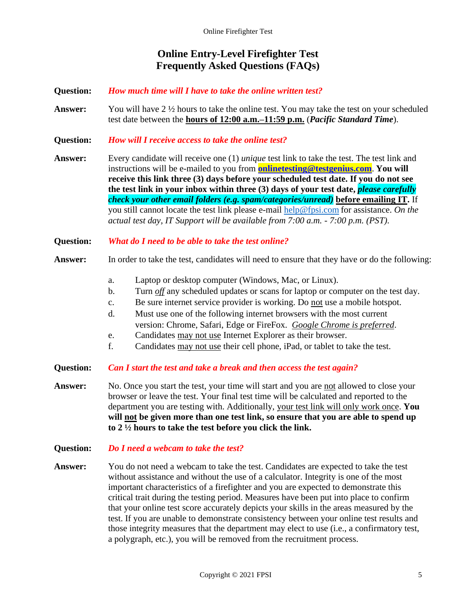# **Online Entry-Level Firefighter Test Frequently Asked Questions (FAQs)**

- **Question:** *How much time will I have to take the online written test?*
- Answer: You will have 2  $\frac{1}{2}$  hours to take the online test. You may take the test on your scheduled test date between the **hours of 12:00 a.m.–11:59 p.m.** (*Pacific Standard Time*).
- **Question:** *How will I receive access to take the online test?*
- **Answer:** Every candidate will receive one (1) *unique* test link to take the test. The test link and instructions will be e-mailed to you from **[onlinetesting@testgenius.com](mailto:onlinetesting@testgenius.com)**. **You will receive this link three (3) days before your scheduled test date. If you do not see the test link in your inbox within three (3) days of your test date,** *please carefully check your other email folders (e.g. spam/categories/unread)* **before emailing IT.** If you still cannot locate the test link please e-mail [help@fpsi.com](mailto:help@fpsi.com) for assistance. *On the actual test day, IT Support will be available from 7:00 a.m. - 7:00 p.m. (PST).*

**Question:** *What do I need to be able to take the test online?*

- **Answer:** In order to take the test, candidates will need to ensure that they have or do the following:
	- a. Laptop or desktop computer (Windows, Mac, or Linux).
	- b. Turn *off* any scheduled updates or scans for laptop or computer on the test day.
	- c. Be sure internet service provider is working. Do not use a mobile hotspot.
	- d. Must use one of the following internet browsers with the most current version: Chrome, Safari, Edge or FireFox. *Google Chrome is preferred*.
	- e. Candidates may not use Internet Explorer as their browser.
	- f. Candidates may not use their cell phone, iPad, or tablet to take the test.
- **Question:** *Can I start the test and take a break and then access the test again?*
- **Answer:** No. Once you start the test, your time will start and you are not allowed to close your browser or leave the test. Your final test time will be calculated and reported to the department you are testing with. Additionally, your test link will only work once. **You will not be given more than one test link, so ensure that you are able to spend up to 2 ½ hours to take the test before you click the link.**
- **Question:** *Do I need a webcam to take the test?*
- **Answer:** You do not need a webcam to take the test. Candidates are expected to take the test without assistance and without the use of a calculator. Integrity is one of the most important characteristics of a firefighter and you are expected to demonstrate this critical trait during the testing period. Measures have been put into place to confirm that your online test score accurately depicts your skills in the areas measured by the test. If you are unable to demonstrate consistency between your online test results and those integrity measures that the department may elect to use (i.e., a confirmatory test, a polygraph, etc.), you will be removed from the recruitment process.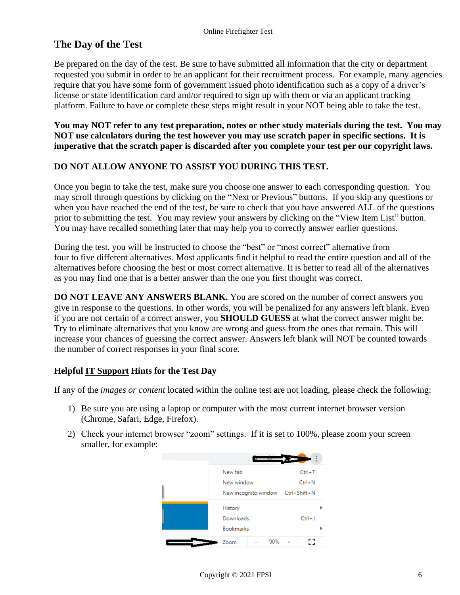# **The Day of the Test**

Be prepared on the day of the test. Be sure to have submitted all information that the city or department requested you submit in order to be an applicant for their recruitment process. For example, many agencies require that you have some form of government issued photo identification such as a copy of a driver's license or state identification card and/or required to sign up with them or via an applicant tracking platform. Failure to have or complete these steps might result in your NOT being able to take the test.

**You may NOT refer to any test preparation, notes or other study materials during the test. You may NOT use calculators during the test however you may use scratch paper in specific sections. It is imperative that the scratch paper is discarded after you complete your test per our copyright laws.**

#### **DO NOT ALLOW ANYONE TO ASSIST YOU DURING THIS TEST.**

Once you begin to take the test, make sure you choose one answer to each corresponding question. You may scroll through questions by clicking on the "Next or Previous" buttons. If you skip any questions or when you have reached the end of the test, be sure to check that you have answered ALL of the questions prior to submitting the test. You may review your answers by clicking on the "View Item List" button. You may have recalled something later that may help you to correctly answer earlier questions.

During the test, you will be instructed to choose the "best" or "most correct" alternative from four to five different alternatives. Most applicants find it helpful to read the entire question and all of the alternatives before choosing the best or most correct alternative. It is better to read all of the alternatives as you may find one that is a better answer than the one you first thought was correct.

**DO NOT LEAVE ANY ANSWERS BLANK.** You are scored on the number of correct answers you give in response to the questions. In other words, you will be penalized for any answers left blank. Even if you are not certain of a correct answer, you **SHOULD GUESS** at what the correct answer might be. Try to eliminate alternatives that you know are wrong and guess from the ones that remain. This will increase your chances of guessing the correct answer. Answers left blank will NOT be counted towards the number of correct responses in your final score.

#### **Helpful IT Support Hints for the Test Day**

If any of the *images or content* located within the online test are not loading, please check the following:

- 1) Be sure you are using a laptop or computer with the most current internet browser version (Chrome, Safari, Edge, Firefox).
- 2) Check your internet browser "zoom" settings. If it is set to 100%, please zoom your screen smaller, for example:

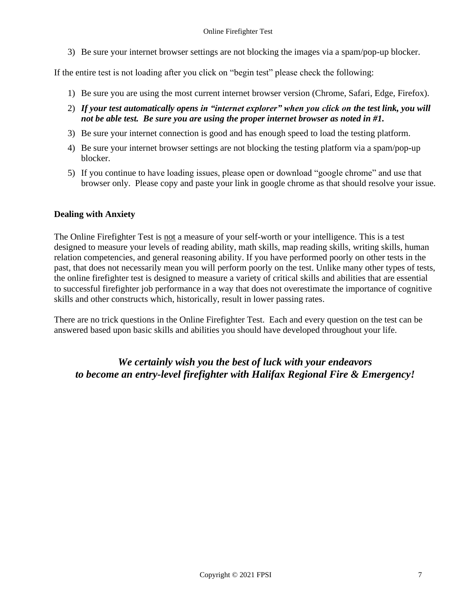3) Be sure your internet browser settings are not blocking the images via a spam/pop-up blocker.

If the entire test is not loading after you click on "begin test" please check the following:

- 1) Be sure you are using the most current internet browser version (Chrome, Safari, Edge, Firefox).
- 2) *If your test automatically opens in "internet explorer" when you click on the test link, you will not be able test. Be sure you are using the proper internet browser as noted in #1.*
- 3) Be sure your internet connection is good and has enough speed to load the testing platform.
- 4) Be sure your internet browser settings are not blocking the testing platform via a spam/pop-up blocker.
- 5) If you continue to have loading issues, please open or download "google chrome" and use that browser only. Please copy and paste your link in google chrome as that should resolve your issue.

#### **Dealing with Anxiety**

The Online Firefighter Test is not a measure of your self-worth or your intelligence. This is a test designed to measure your levels of reading ability, math skills, map reading skills, writing skills, human relation competencies, and general reasoning ability. If you have performed poorly on other tests in the past, that does not necessarily mean you will perform poorly on the test. Unlike many other types of tests, the online firefighter test is designed to measure a variety of critical skills and abilities that are essential to successful firefighter job performance in a way that does not overestimate the importance of cognitive skills and other constructs which, historically, result in lower passing rates.

There are no trick questions in the Online Firefighter Test. Each and every question on the test can be answered based upon basic skills and abilities you should have developed throughout your life.

### *We certainly wish you the best of luck with your endeavors to become an entry-level firefighter with Halifax Regional Fire & Emergency!*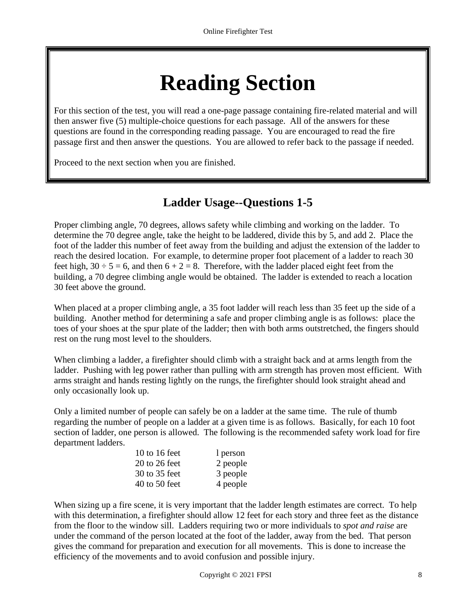# **Reading Section**

For this section of the test, you will read a one-page passage containing fire-related material and will then answer five (5) multiple-choice questions for each passage. All of the answers for these questions are found in the corresponding reading passage. You are encouraged to read the fire passage first and then answer the questions. You are allowed to refer back to the passage if needed.

Proceed to the next section when you are finished.

# **Ladder Usage--Questions 1-5**

Proper climbing angle, 70 degrees, allows safety while climbing and working on the ladder. To determine the 70 degree angle, take the height to be laddered, divide this by 5, and add 2. Place the foot of the ladder this number of feet away from the building and adjust the extension of the ladder to reach the desired location. For example, to determine proper foot placement of a ladder to reach 30 feet high,  $30 \div 5 = 6$ , and then  $6 + 2 = 8$ . Therefore, with the ladder placed eight feet from the building, a 70 degree climbing angle would be obtained. The ladder is extended to reach a location 30 feet above the ground.

When placed at a proper climbing angle, a 35 foot ladder will reach less than 35 feet up the side of a building. Another method for determining a safe and proper climbing angle is as follows: place the toes of your shoes at the spur plate of the ladder; then with both arms outstretched, the fingers should rest on the rung most level to the shoulders.

When climbing a ladder, a firefighter should climb with a straight back and at arms length from the ladder. Pushing with leg power rather than pulling with arm strength has proven most efficient. With arms straight and hands resting lightly on the rungs, the firefighter should look straight ahead and only occasionally look up.

Only a limited number of people can safely be on a ladder at the same time. The rule of thumb regarding the number of people on a ladder at a given time is as follows. Basically, for each 10 foot section of ladder, one person is allowed. The following is the recommended safety work load for fire department ladders.

| 10 to 16 feet     | 1 person |
|-------------------|----------|
| $20$ to $26$ feet | 2 people |
| 30 to 35 feet     | 3 people |
| 40 to 50 feet     | 4 people |

When sizing up a fire scene, it is very important that the ladder length estimates are correct. To help with this determination, a firefighter should allow 12 feet for each story and three feet as the distance from the floor to the window sill. Ladders requiring two or more individuals to *spot and raise* are under the command of the person located at the foot of the ladder, away from the bed. That person gives the command for preparation and execution for all movements. This is done to increase the efficiency of the movements and to avoid confusion and possible injury.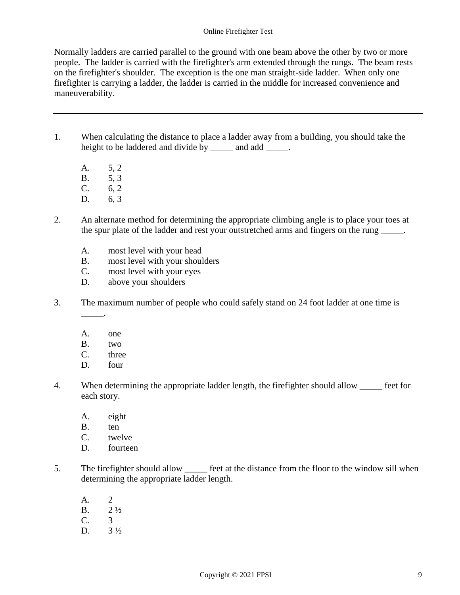#### Online Firefighter Test

Normally ladders are carried parallel to the ground with one beam above the other by two or more people. The ladder is carried with the firefighter's arm extended through the rungs. The beam rests on the firefighter's shoulder. The exception is the one man straight-side ladder. When only one firefighter is carrying a ladder, the ladder is carried in the middle for increased convenience and maneuverability.

- 1. When calculating the distance to place a ladder away from a building, you should take the height to be laddered and divide by \_\_\_\_\_\_ and add \_\_\_\_\_.
	- A. 5, 2 B. 5, 3
	- $C. 6, 2$
	- D. 6, 3
- 2. An alternate method for determining the appropriate climbing angle is to place your toes at the spur plate of the ladder and rest your outstretched arms and fingers on the rung \_\_\_\_\_.
	- A. most level with your head
	- B. most level with your shoulders
	- C. most level with your eyes
	- D. above your shoulders
- 3. The maximum number of people who could safely stand on 24 foot ladder at one time is
	- A. one

\_\_\_\_\_.

- B. two
- C. three
- D. four
- 4. When determining the appropriate ladder length, the firefighter should allow \_\_\_\_\_ feet for each story.
	- A. eight
	- B. ten
	- C. twelve
	- D. fourteen
- 5. The firefighter should allow \_\_\_\_\_\_ feet at the distance from the floor to the window sill when determining the appropriate ladder length.
	- A. 2
	- $B = 2\frac{1}{2}$
	- C. 3
	- D.  $3\frac{1}{2}$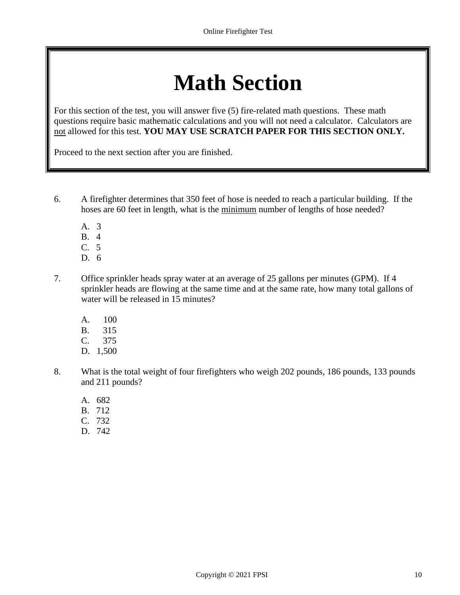# **Math Section**

For this section of the test, you will answer five (5) fire-related math questions. These math questions require basic mathematic calculations and you will not need a calculator. Calculators are not allowed for this test. **YOU MAY USE SCRATCH PAPER FOR THIS SECTION ONLY.**

Proceed to the next section after you are finished.

- 6. A firefighter determines that 350 feet of hose is needed to reach a particular building. If the hoses are 60 feet in length, what is the minimum number of lengths of hose needed?
	- A. 3
	- B. 4
	- C. 5
	- D. 6
- 7. Office sprinkler heads spray water at an average of 25 gallons per minutes (GPM). If 4 sprinkler heads are flowing at the same time and at the same rate, how many total gallons of water will be released in 15 minutes?
	- A. 100
	- B. 315
	- C. 375
	- D. 1,500
- 8. What is the total weight of four firefighters who weigh 202 pounds, 186 pounds, 133 pounds and 211 pounds?
	- A. 682
	- B. 712
	- C. 732
	- D. 742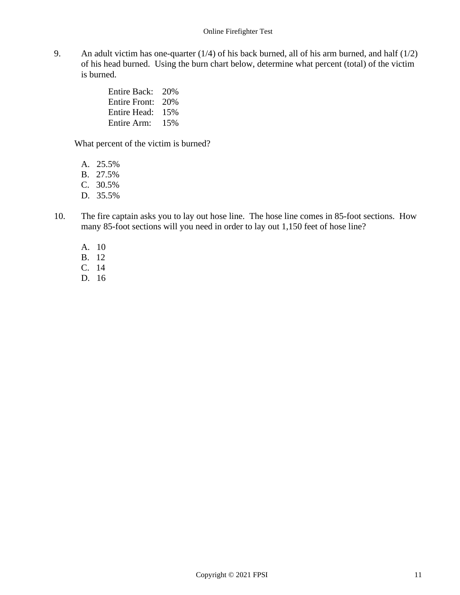9. An adult victim has one-quarter  $(1/4)$  of his back burned, all of his arm burned, and half  $(1/2)$ of his head burned. Using the burn chart below, determine what percent (total) of the victim is burned.

> Entire Back: 20% Entire Front: 20% Entire Head: 15% Entire Arm: 15%

What percent of the victim is burned?

A. 25.5%

B. 27.5%

C. 30.5%

- D. 35.5%
- 10. The fire captain asks you to lay out hose line. The hose line comes in 85-foot sections. How many 85-foot sections will you need in order to lay out 1,150 feet of hose line?
	- A. 10
	- B. 12

C. 14

D. 16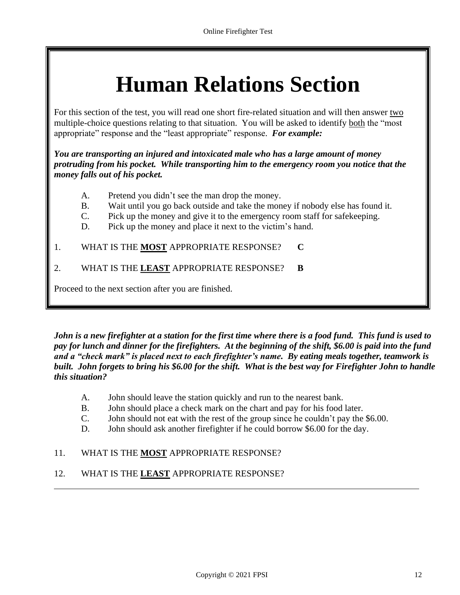# **Human Relations Section**

For this section of the test, you will read one short fire-related situation and will then answer two multiple-choice questions relating to that situation. You will be asked to identify both the "most appropriate" response and the "least appropriate" response. *For example:*

*You are transporting an injured and intoxicated male who has a large amount of money protruding from his pocket. While transporting him to the emergency room you notice that the money falls out of his pocket.* 

- A. Pretend you didn't see the man drop the money.
- B. Wait until you go back outside and take the money if nobody else has found it.
- C. Pick up the money and give it to the emergency room staff for safekeeping.
- D. Pick up the money and place it next to the victim's hand.

#### 1. WHAT IS THE **MOST** APPROPRIATE RESPONSE? **C**

#### 2. WHAT IS THE **LEAST** APPROPRIATE RESPONSE? **B**

Proceed to the next section after you are finished.

*John is a new firefighter at a station for the first time where there is a food fund. This fund is used to pay for lunch and dinner for the firefighters. At the beginning of the shift, \$6.00 is paid into the fund and a "check mark" is placed next to each firefighter's name. By eating meals together, teamwork is built. John forgets to bring his \$6.00 for the shift. What is the best way for Firefighter John to handle this situation?* 

- A. John should leave the station quickly and run to the nearest bank.
- B. John should place a check mark on the chart and pay for his food later.
- C. John should not eat with the rest of the group since he couldn't pay the \$6.00.
- D. John should ask another firefighter if he could borrow \$6.00 for the day.

#### 11. WHAT IS THE **MOST** APPROPRIATE RESPONSE?

#### 12. WHAT IS THE **LEAST** APPROPRIATE RESPONSE?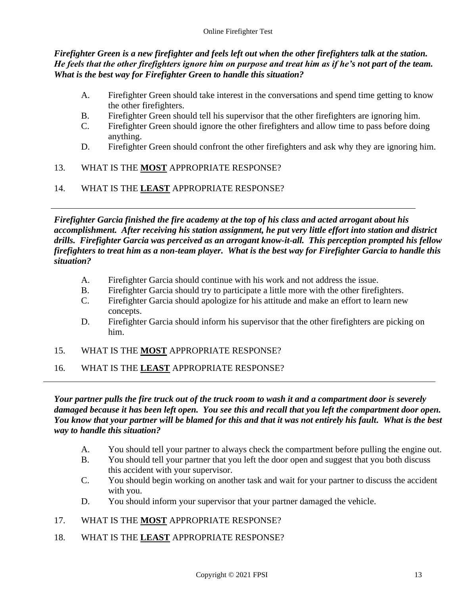*Firefighter Green is a new firefighter and feels left out when the other firefighters talk at the station. He feels that the other firefighters ignore him on purpose and treat him as if he's not part of the team. What is the best way for Firefighter Green to handle this situation?*

- A. Firefighter Green should take interest in the conversations and spend time getting to know the other firefighters.
- B. Firefighter Green should tell his supervisor that the other firefighters are ignoring him.
- C. Firefighter Green should ignore the other firefighters and allow time to pass before doing anything.
- D. Firefighter Green should confront the other firefighters and ask why they are ignoring him.

#### 13. WHAT IS THE **MOST** APPROPRIATE RESPONSE?

14. WHAT IS THE **LEAST** APPROPRIATE RESPONSE?

*Firefighter Garcia finished the fire academy at the top of his class and acted arrogant about his accomplishment. After receiving his station assignment, he put very little effort into station and district drills. Firefighter Garcia was perceived as an arrogant know-it-all. This perception prompted his fellow firefighters to treat him as a non-team player. What is the best way for Firefighter Garcia to handle this situation?*

- A. Firefighter Garcia should continue with his work and not address the issue.
- B. Firefighter Garcia should try to participate a little more with the other firefighters.
- C. Firefighter Garcia should apologize for his attitude and make an effort to learn new concepts.
- D. Firefighter Garcia should inform his supervisor that the other firefighters are picking on him.

#### 15. WHAT IS THE **MOST** APPROPRIATE RESPONSE?

#### 16. WHAT IS THE **LEAST** APPROPRIATE RESPONSE?

*Your partner pulls the fire truck out of the truck room to wash it and a compartment door is severely damaged because it has been left open. You see this and recall that you left the compartment door open. You know that your partner will be blamed for this and that it was not entirely his fault. What is the best way to handle this situation?*

- A. You should tell your partner to always check the compartment before pulling the engine out.
- B. You should tell your partner that you left the door open and suggest that you both discuss this accident with your supervisor.
- C. You should begin working on another task and wait for your partner to discuss the accident with you.
- D. You should inform your supervisor that your partner damaged the vehicle.
- 17. WHAT IS THE **MOST** APPROPRIATE RESPONSE?
- 18. WHAT IS THE **LEAST** APPROPRIATE RESPONSE?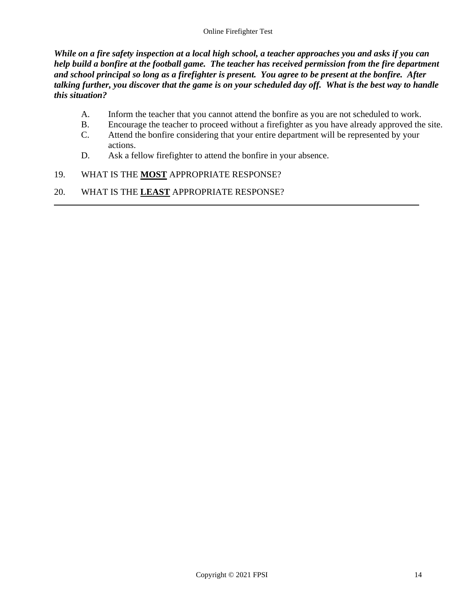*While on a fire safety inspection at a local high school, a teacher approaches you and asks if you can help build a bonfire at the football game. The teacher has received permission from the fire department and school principal so long as a firefighter is present. You agree to be present at the bonfire. After talking further, you discover that the game is on your scheduled day off. What is the best way to handle this situation?*

- A. Inform the teacher that you cannot attend the bonfire as you are not scheduled to work.
- B. Encourage the teacher to proceed without a firefighter as you have already approved the site.
- C. Attend the bonfire considering that your entire department will be represented by your actions.
- D. Ask a fellow firefighter to attend the bonfire in your absence.

#### 19. WHAT IS THE **MOST** APPROPRIATE RESPONSE?

#### 20. WHAT IS THE **LEAST** APPROPRIATE RESPONSE?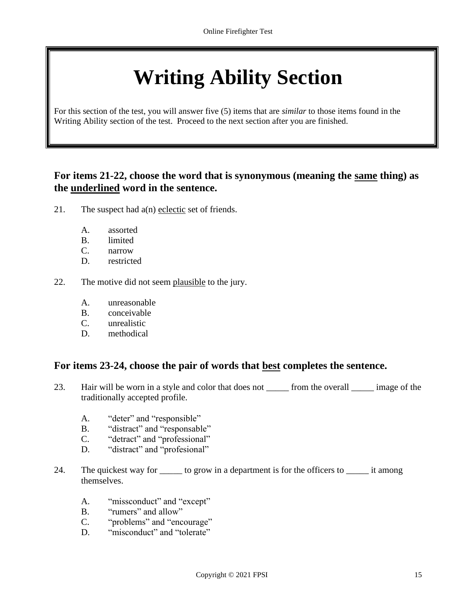# **Writing Ability Section**

For this section of the test, you will answer five (5) items that are *similar* to those items found in the Writing Ability section of the test. Proceed to the next section after you are finished.

### **For items 21-22, choose the word that is synonymous (meaning the same thing) as the underlined word in the sentence.**

- 21. The suspect had a(n) eclectic set of friends.
	- A. assorted
	- B. limited
	- C. narrow
	- D. restricted
- 22. The motive did not seem plausible to the jury.
	- A. unreasonable
	- B. conceivable
	- C. unrealistic
	- D. methodical

#### **For items 23-24, choose the pair of words that best completes the sentence.**

- 23. Hair will be worn in a style and color that does not \_\_\_\_\_ from the overall \_\_\_\_\_ image of the traditionally accepted profile.
	- A. "deter" and "responsible"
	- B. "distract" and "responsable"
	- C. "detract" and "professional"
	- D. "distract" and "profesional"
- 24. The quickest way for \_\_\_\_\_ to grow in a department is for the officers to \_\_\_\_\_\_ it among themselves.
	- A. "missconduct" and "except"
	- B. "rumers" and allow"
	- C. "problems" and "encourage"
	- D. "misconduct" and "tolerate"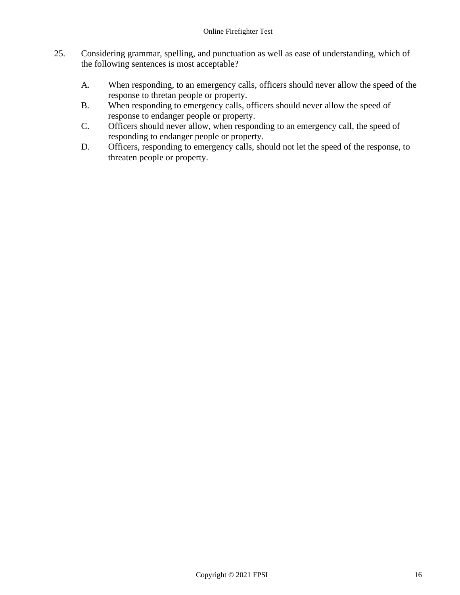- 25. Considering grammar, spelling, and punctuation as well as ease of understanding, which of the following sentences is most acceptable?
	- A. When responding, to an emergency calls, officers should never allow the speed of the response to thretan people or property.
	- B. When responding to emergency calls, officers should never allow the speed of response to endanger people or property.
	- C. Officers should never allow, when responding to an emergency call, the speed of responding to endanger people or property.
	- D. Officers, responding to emergency calls, should not let the speed of the response, to threaten people or property.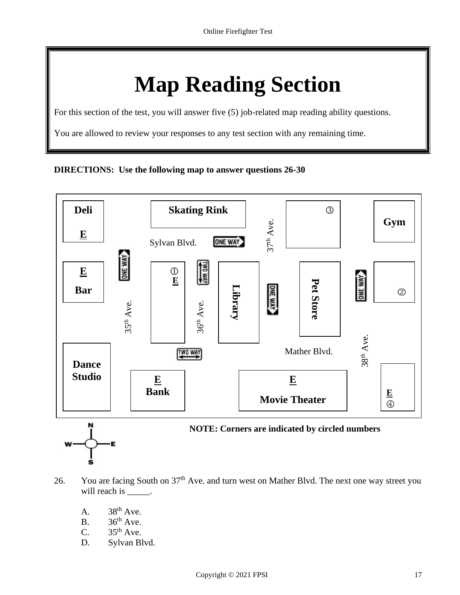# **Map Reading Section**

For this section of the test, you will answer five (5) job-related map reading ability questions.

You are allowed to review your responses to any test section with any remaining time.





- 26. You are facing South on  $37<sup>th</sup>$  Ave. and turn west on Mather Blvd. The next one way street you will reach is \_\_\_\_\_\_.
	- A.  $38<sup>th</sup>$  Ave.
	- B.  $36<sup>th</sup>$  Ave.
	- C.  $35<sup>th</sup>$  Ave.
	- D. Sylvan Blvd.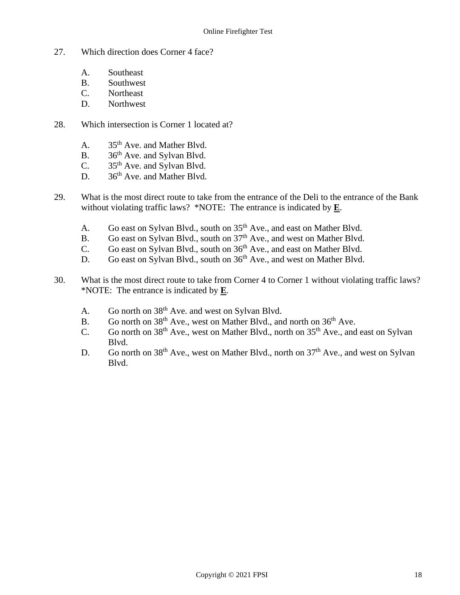- 27. Which direction does Corner 4 face?
	- A. Southeast
	- B. Southwest
	- C. Northeast
	- D. Northwest
- 28. Which intersection is Corner 1 located at?
	- A. 35<sup>th</sup> Ave. and Mather Blvd.
	- B. 36<sup>th</sup> Ave. and Sylvan Blvd.
	- C. 35<sup>th</sup> Ave. and Sylvan Blvd.
	- D.  $36<sup>th</sup>$  Ave. and Mather Blvd.
- 29. What is the most direct route to take from the entrance of the Deli to the entrance of the Bank without violating traffic laws? \*NOTE: The entrance is indicated by **E**.
	- A. Go east on Sylvan Blvd., south on 35<sup>th</sup> Ave., and east on Mather Blvd.
	- B. Go east on Sylvan Blvd., south on 37<sup>th</sup> Ave., and west on Mather Blvd.
	- C. Go east on Sylvan Blvd., south on  $36<sup>th</sup>$  Ave., and east on Mather Blvd.
	- D. Go east on Sylvan Blvd., south on 36<sup>th</sup> Ave., and west on Mather Blvd.
- 30. What is the most direct route to take from Corner 4 to Corner 1 without violating traffic laws? \*NOTE: The entrance is indicated by **E**.
	- A. Go north on 38<sup>th</sup> Ave. and west on Sylvan Blvd.
	- B. Go north on  $38<sup>th</sup>$  Ave., west on Mather Blvd., and north on  $36<sup>th</sup>$  Ave.
	- C. Go north on 38<sup>th</sup> Ave., west on Mather Blvd., north on  $35<sup>th</sup>$  Ave., and east on Sylvan Blvd.
	- D. Go north on 38<sup>th</sup> Ave., west on Mather Blvd., north on 37<sup>th</sup> Ave., and west on Sylvan Blvd.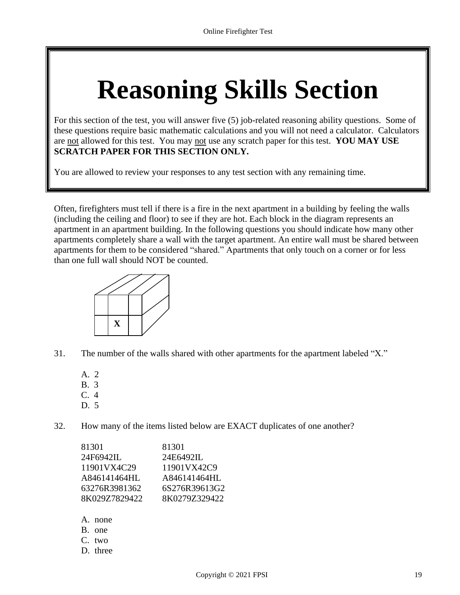# **Reasoning Skills Section**

For this section of the test, you will answer five (5) job-related reasoning ability questions. Some of these questions require basic mathematic calculations and you will not need a calculator. Calculators are not allowed for this test. You may not use any scratch paper for this test. **YOU MAY USE SCRATCH PAPER FOR THIS SECTION ONLY.**

You are allowed to review your responses to any test section with any remaining time.

Often, firefighters must tell if there is a fire in the next apartment in a building by feeling the walls (including the ceiling and floor) to see if they are hot. Each block in the diagram represents an apartment in an apartment building. In the following questions you should indicate how many other apartments completely share a wall with the target apartment. An entire wall must be shared between apartments for them to be considered "shared." Apartments that only touch on a corner or for less than one full wall should NOT be counted.



- 31. The number of the walls shared with other apartments for the apartment labeled "X."
	- A. 2
	- B. 3
	- $C_4$
	- D. 5
- 32. How many of the items listed below are EXACT duplicates of one another?

| 81301         | 81301         |
|---------------|---------------|
| 24F6942IL     | 24E6492IL     |
| 11901VX4C29   | 11901VX42C9   |
| A846141464HL  | A846141464HL  |
| 63276R3981362 | 6S276R39613G2 |
| 8K029Z7829422 | 8K0279Z329422 |
|               |               |
| A. none       |               |

- B. one
- C. two
- D. three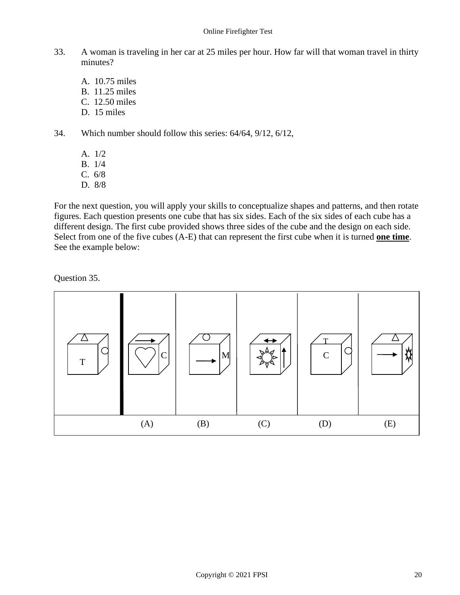- 33. A woman is traveling in her car at 25 miles per hour. How far will that woman travel in thirty minutes?
	- A. 10.75 miles B. 11.25 miles C. 12.50 miles D. 15 miles
- 34. Which number should follow this series: 64/64, 9/12, 6/12,
	- A. 1/2
	- B. 1/4
	- C. 6/8
	- D. 8/8

For the next question, you will apply your skills to conceptualize shapes and patterns, and then rotate figures. Each question presents one cube that has six sides. Each of the six sides of each cube has a different design. The first cube provided shows three sides of the cube and the design on each side. Select from one of the five cubes (A-E) that can represent the first cube when it is turned **one time**. See the example below:

Question 35.